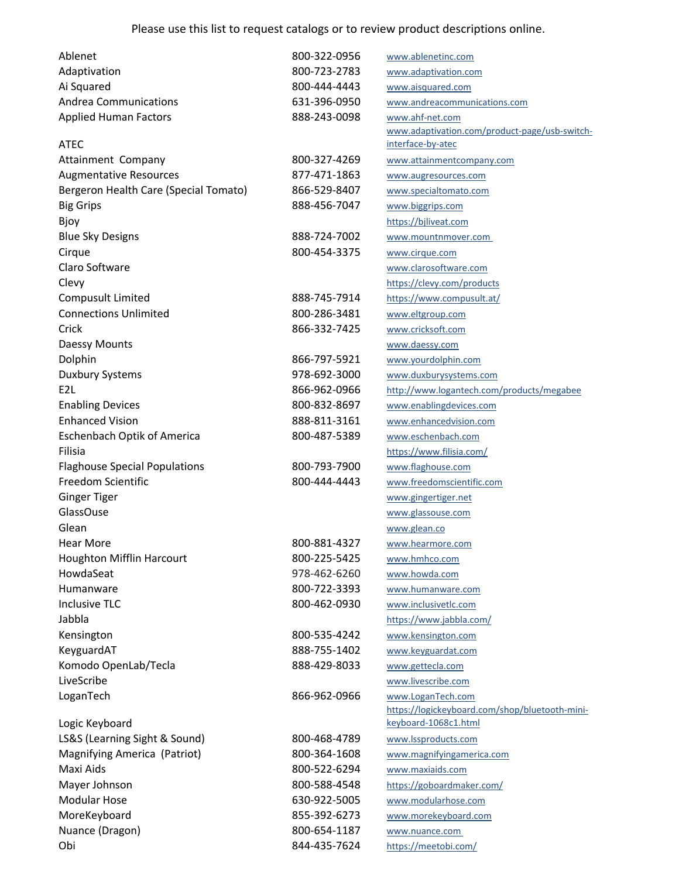| Ablenet                               | 800-322-0956 | www.ablenetinc.com                             |
|---------------------------------------|--------------|------------------------------------------------|
| Adaptivation                          | 800-723-2783 | www.adaptivation.com                           |
| Ai Squared                            | 800-444-4443 | www.aisquared.com                              |
| <b>Andrea Communications</b>          | 631-396-0950 | www.andreacommunications.com                   |
| <b>Applied Human Factors</b>          | 888-243-0098 | www.ahf-net.com                                |
|                                       |              | www.adaptivation.com/product-page/usb-switch-  |
| <b>ATEC</b>                           |              | interface-by-atec                              |
| Attainment Company                    | 800-327-4269 | www.attainmentcompany.com                      |
| <b>Augmentative Resources</b>         | 877-471-1863 | www.augresources.com                           |
| Bergeron Health Care (Special Tomato) | 866-529-8407 | www.specialtomato.com                          |
| <b>Big Grips</b>                      | 888-456-7047 | www.biggrips.com                               |
| Bjoy                                  |              | https://bjliveat.com                           |
| <b>Blue Sky Designs</b>               | 888-724-7002 | www.mountnmover.com                            |
| Cirque                                | 800-454-3375 | www.cirque.com                                 |
| Claro Software                        |              | www.clarosoftware.com                          |
| Clevy                                 |              | https://clevy.com/products                     |
| Compusult Limited                     | 888-745-7914 | https://www.compusult.at/                      |
| <b>Connections Unlimited</b>          | 800-286-3481 | www.eltgroup.com                               |
| Crick                                 | 866-332-7425 | www.cricksoft.com                              |
| Daessy Mounts                         |              | www.daessy.com                                 |
| Dolphin                               | 866-797-5921 | www.yourdolphin.com                            |
| Duxbury Systems                       | 978-692-3000 | www.duxburysystems.com                         |
| E <sub>2L</sub>                       | 866-962-0966 | http://www.logantech.com/products/megabee      |
| <b>Enabling Devices</b>               | 800-832-8697 | www.enablingdevices.com                        |
| <b>Enhanced Vision</b>                | 888-811-3161 | www.enhancedvision.com                         |
| <b>Eschenbach Optik of America</b>    | 800-487-5389 | www.eschenbach.com                             |
| Filisia                               |              | https://www.filisia.com/                       |
| <b>Flaghouse Special Populations</b>  | 800-793-7900 | www.flaghouse.com                              |
| Freedom Scientific                    | 800-444-4443 | www.freedomscientific.com                      |
| <b>Ginger Tiger</b>                   |              | www.gingertiger.net                            |
| GlassOuse                             |              | www.glassouse.com                              |
| Glean                                 |              | www.glean.co                                   |
| Hear More                             | 800-881-4327 | www.hearmore.com                               |
| Houghton Mifflin Harcourt             | 800-225-5425 | www.hmhco.com                                  |
| HowdaSeat                             | 978-462-6260 | www.howda.com                                  |
| Humanware                             | 800-722-3393 | www.humanware.com                              |
| <b>Inclusive TLC</b>                  | 800-462-0930 | www.inclusivetlc.com                           |
| Jabbla                                |              | https://www.jabbla.com/                        |
| Kensington                            | 800-535-4242 | www.kensington.com                             |
| KeyguardAT                            | 888-755-1402 | www.keyguardat.com                             |
| Komodo OpenLab/Tecla                  | 888-429-8033 | www.gettecla.com                               |
| LiveScribe                            |              | www.livescribe.com                             |
| LoganTech                             | 866-962-0966 | www.LoganTech.com                              |
|                                       |              | https://logickeyboard.com/shop/bluetooth-mini- |
| Logic Keyboard                        |              | keyboard-1068c1.html                           |
| LS&S (Learning Sight & Sound)         | 800-468-4789 | www.lssproducts.com                            |
| Magnifying America (Patriot)          | 800-364-1608 | www.magnifyingamerica.com                      |
| Maxi Aids                             | 800-522-6294 | www.maxiaids.com                               |
| Mayer Johnson                         | 800-588-4548 | https://goboardmaker.com/                      |
| <b>Modular Hose</b>                   | 630-922-5005 | www.modularhose.com                            |
| MoreKeyboard                          | 855-392-6273 | www.morekeyboard.com                           |
| Nuance (Dragon)                       | 800-654-1187 | www.nuance.com                                 |
| Obi                                   | 844-435-7624 | https://meetobi.com/                           |